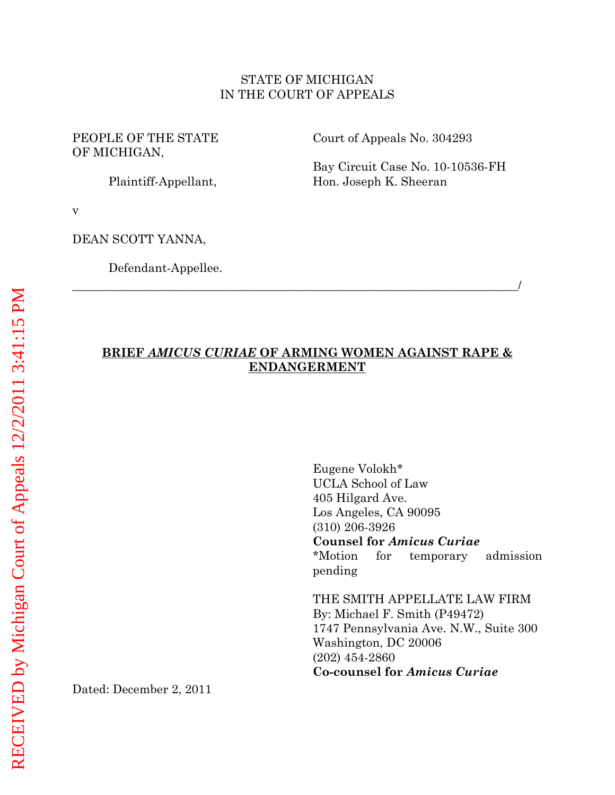### STATE OF MICHIGAN IN THE COURT OF APPEALS

PEOPLE OF THE STATE OF MICHIGAN,

Plaintiff-Appellant,

Court of Appeals No. 304293

Bay Circuit Case No. 10-10536-FH Hon. Joseph K. Sheeran

v

DEAN SCOTT YANNA,

Defendant-Appellee.

# **BRIEF** *AMICUS CURIAE* **OF ARMING WOMEN AGAINST RAPE & ENDANGERMENT**

\_\_\_\_\_\_\_\_\_\_\_\_\_\_\_\_\_\_\_\_\_\_\_\_\_\_\_\_\_\_\_\_\_\_\_\_\_\_\_\_\_\_\_\_\_\_\_\_\_\_\_\_\_\_\_\_\_\_\_\_\_\_\_\_\_\_\_\_\_\_\_\_\_\_/

Eugene Volokh\* UCLA School of Law 405 Hilgard Ave. Los Angeles, CA 90095 (310) 206-3926 **Counsel for** *Amicus Curiae* \*Motion for temporary admission pending THE SMITH APPELLATE LAW FIRM By: Michael F. Smith (P49472) 1747 Pennsylvania Ave. N.W., Suite 300

Washington, DC 20006 (202) 454-2860 **Co-counsel for** *Amicus Curiae*

Dated: December 2, 2011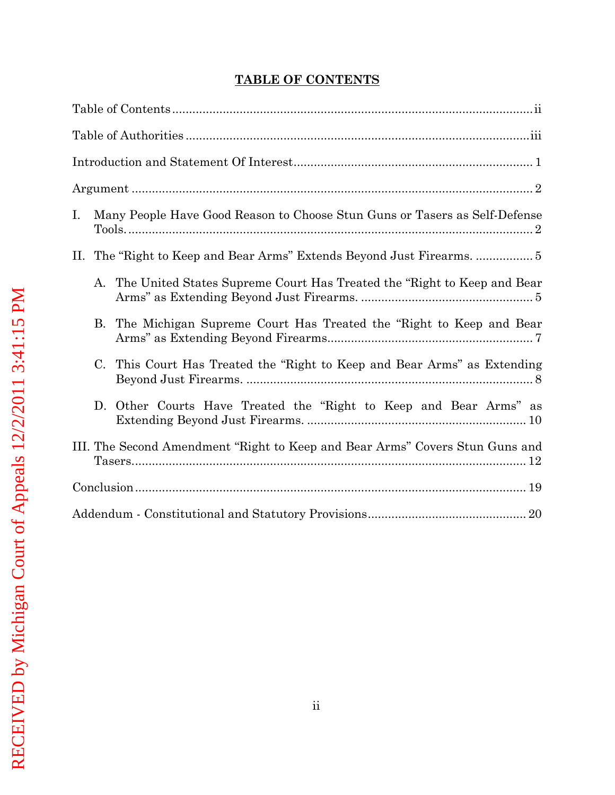# **TABLE OF CONTENTS**

<span id="page-1-0"></span>

| Many People Have Good Reason to Choose Stun Guns or Tasers as Self-Defense<br>Ι. |
|----------------------------------------------------------------------------------|
|                                                                                  |
| The United States Supreme Court Has Treated the "Right to Keep and Bear"<br>А.   |
| The Michigan Supreme Court Has Treated the "Right to Keep and Bear<br>B.         |
| This Court Has Treated the "Right to Keep and Bear Arms" as Extending<br>C.      |
| D. Other Courts Have Treated the "Right to Keep and Bear Arms" as                |
| III. The Second Amendment "Right to Keep and Bear Arms" Covers Stun Guns and     |
|                                                                                  |
|                                                                                  |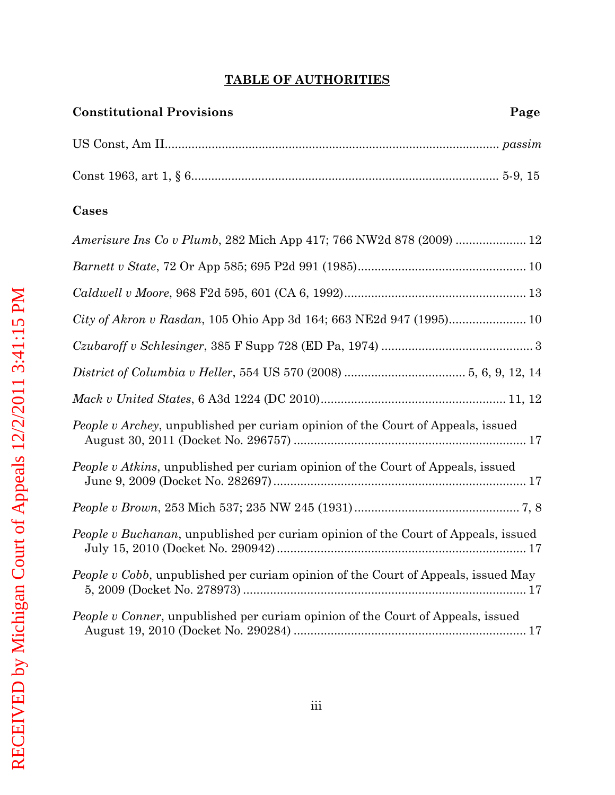## **TABLE OF AUTHORITIES**

<span id="page-2-0"></span>

| Cases                                                                                     |
|-------------------------------------------------------------------------------------------|
| Amerisure Ins Co v Plumb, 282 Mich App 417; 766 NW2d 878 (2009)  12                       |
|                                                                                           |
|                                                                                           |
| City of Akron v Rasdan, 105 Ohio App 3d 164; 663 NE2d 947 (1995) 10                       |
|                                                                                           |
|                                                                                           |
|                                                                                           |
| People v Archey, unpublished per curiam opinion of the Court of Appeals, issued           |
| <i>People v Atkins</i> , unpublished per curiam opinion of the Court of Appeals, issued   |
|                                                                                           |
| <i>People v Buchanan</i> , unpublished per curiam opinion of the Court of Appeals, issued |
| <i>People v Cobb</i> , unpublished per curiam opinion of the Court of Appeals, issued May |

*People v Conner*, unpublished per curiam opinion of the Court of Appeals, issued August 19, 2010 (Docket No. 290284) ..................................................................... 17

5, 2009 (Docket No. 278973) .................................................................................... 17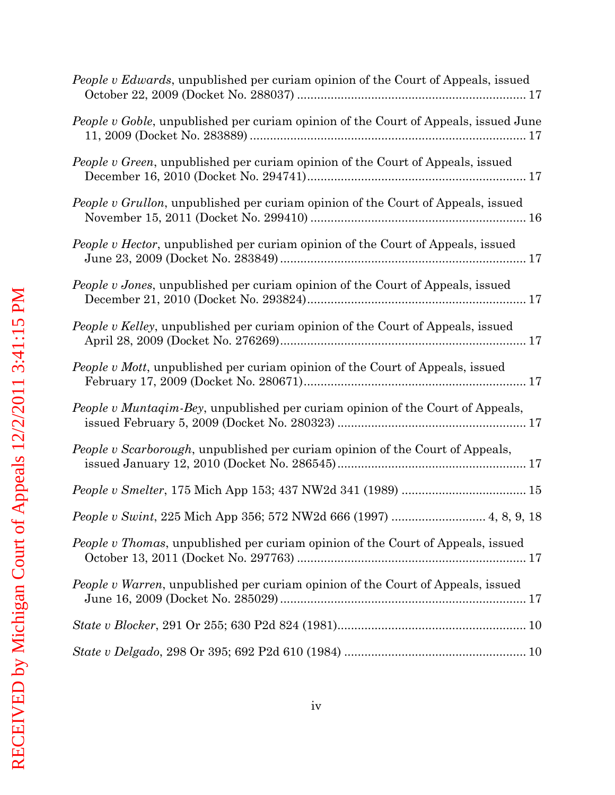| People v Edwards, unpublished per curiam opinion of the Court of Appeals, issued      |
|---------------------------------------------------------------------------------------|
| People v Goble, unpublished per curiam opinion of the Court of Appeals, issued June   |
| People v Green, unpublished per curiam opinion of the Court of Appeals, issued        |
| People v Grullon, unpublished per curiam opinion of the Court of Appeals, issued      |
| People v Hector, unpublished per curiam opinion of the Court of Appeals, issued       |
| People v Jones, unpublished per curiam opinion of the Court of Appeals, issued        |
| People v Kelley, unpublished per curiam opinion of the Court of Appeals, issued       |
| <i>People v Mott</i> , unpublished per curiam opinion of the Court of Appeals, issued |
| People v Muntaqim-Bey, unpublished per curiam opinion of the Court of Appeals,        |
| People v Scarborough, unpublished per curiam opinion of the Court of Appeals,         |
|                                                                                       |
| People v Swint, 225 Mich App 356; 572 NW2d 666 (1997)  4, 8, 9, 18                    |
| People v Thomas, unpublished per curiam opinion of the Court of Appeals, issued       |
| People v Warren, unpublished per curiam opinion of the Court of Appeals, issued       |
|                                                                                       |
|                                                                                       |
|                                                                                       |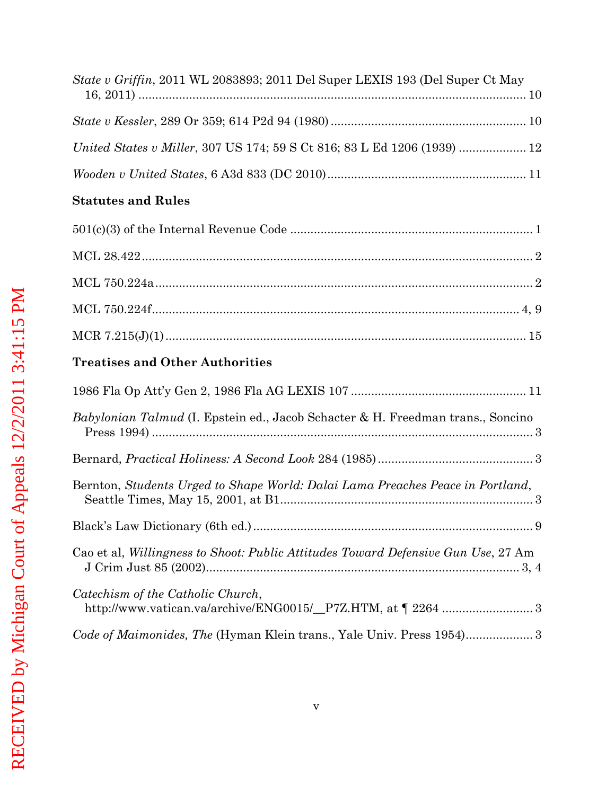| <i>State v Griffin</i> , 2011 WL 2083893; 2011 Del Super LEXIS 193 (Del Super Ct May             |
|--------------------------------------------------------------------------------------------------|
|                                                                                                  |
| United States v Miller, 307 US 174; 59 S Ct 816; 83 L Ed 1206 (1939)  12                         |
|                                                                                                  |
| <b>Statutes and Rules</b>                                                                        |
|                                                                                                  |
|                                                                                                  |
|                                                                                                  |
|                                                                                                  |
|                                                                                                  |
| <b>Treatises and Other Authorities</b>                                                           |
|                                                                                                  |
| Babylonian Talmud (I. Epstein ed., Jacob Schacter & H. Freedman trans., Soncino                  |
|                                                                                                  |
|                                                                                                  |
| Bernton, Students Urged to Shape World: Dalai Lama Preaches Peace in Portland,                   |
|                                                                                                  |
| Cao et al, Willingness to Shoot: Public Attitudes Toward Defensive Gun Use, 27 Am                |
| Catechism of the Catholic Church,<br>http://www.vatican.va/archive/ENG0015/_P7Z.HTM, at \ 2264 3 |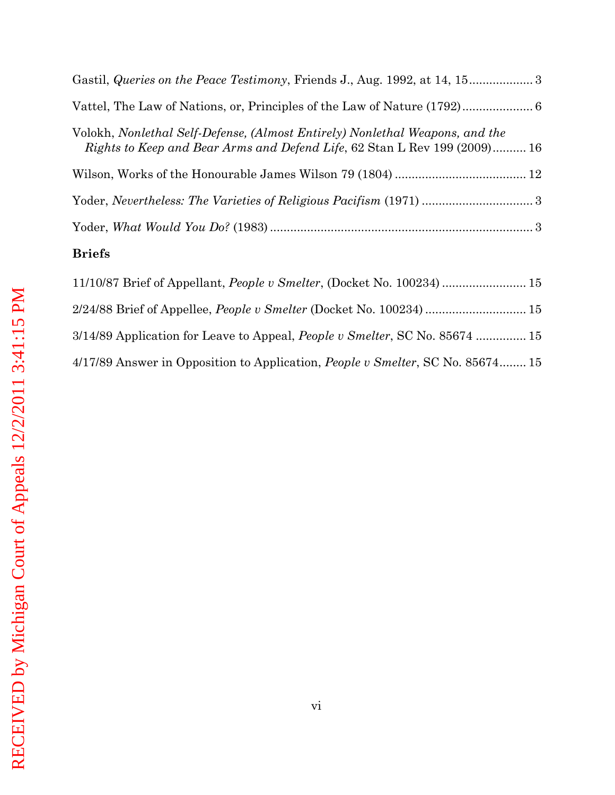| Volokh, Nonlethal Self-Defense, (Almost Entirely) Nonlethal Weapons, and the<br>Rights to Keep and Bear Arms and Defend Life, 62 Stan L Rev 199 (2009) 16 |
|-----------------------------------------------------------------------------------------------------------------------------------------------------------|
|                                                                                                                                                           |
|                                                                                                                                                           |
|                                                                                                                                                           |
|                                                                                                                                                           |

# **Briefs**

| 11/10/87 Brief of Appellant, <i>People v Smelter</i> , (Docket No. 100234)  15         |  |
|----------------------------------------------------------------------------------------|--|
| 2/24/88 Brief of Appellee, <i>People v Smelter</i> (Docket No. 100234) 15              |  |
| 3/14/89 Application for Leave to Appeal, <i>People v Smelter</i> , SC No. 85674  15    |  |
| 4/17/89 Answer in Opposition to Application, <i>People v Smelter</i> , SC No. 85674 15 |  |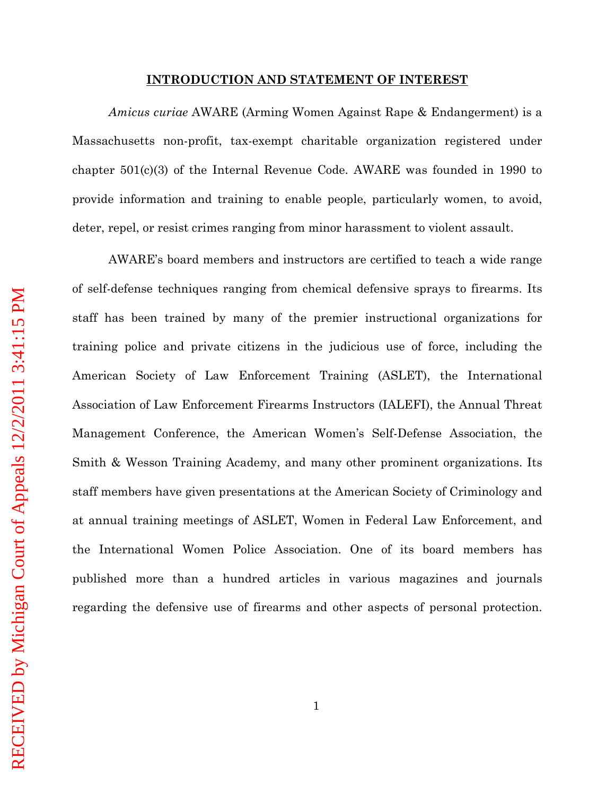#### **INTRODUCTION AND STATEMENT OF INTEREST**

<span id="page-6-0"></span>*Amicus curiae* AWARE (Arming Women Against Rape & Endangerment) is a Massachusetts non-profit, tax-exempt charitable organization registered under chapter 501(c)(3) of the Internal Revenue Code. AWARE was founded in 1990 to provide information and training to enable people, particularly women, to avoid, deter, repel, or resist crimes ranging from minor harassment to violent assault.

AWARE's board members and instructors are certified to teach a wide range of self-defense techniques ranging from chemical defensive sprays to firearms. Its staff has been trained by many of the premier instructional organizations for training police and private citizens in the judicious use of force, including the American Society of Law Enforcement Training (ASLET), the International Association of Law Enforcement Firearms Instructors (IALEFI), the Annual Threat Management Conference, the American Women's Self-Defense Association, the Smith & Wesson Training Academy, and many other prominent organizations. Its staff members have given presentations at the American Society of Criminology and at annual training meetings of ASLET, Women in Federal Law Enforcement, and the International Women Police Association. One of its board members has published more than a hundred articles in various magazines and journals regarding the defensive use of firearms and other aspects of personal protection.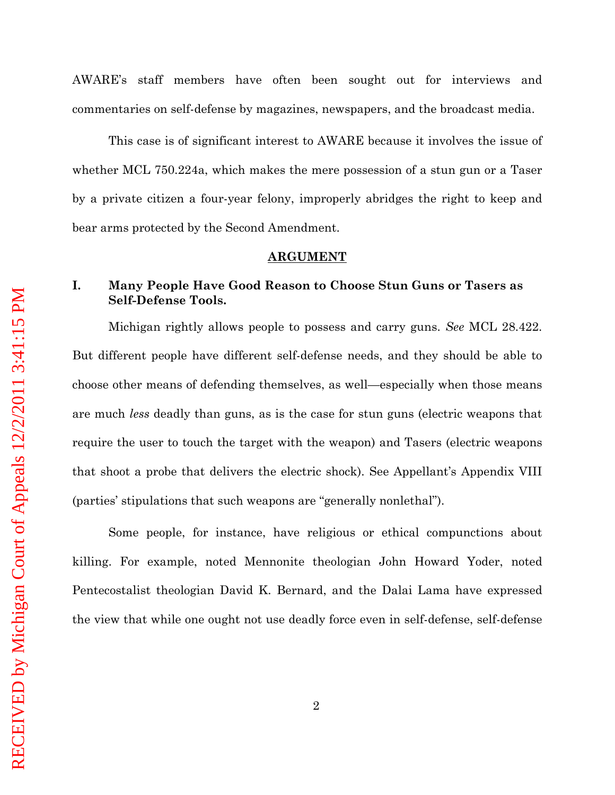AWARE's staff members have often been sought out for interviews and commentaries on self-defense by magazines, newspapers, and the broadcast media.

This case is of significant interest to AWARE because it involves the issue of whether MCL 750.224a, which makes the mere possession of a stun gun or a Taser by a private citizen a four-year felony, improperly abridges the right to keep and bear arms protected by the Second Amendment.

#### **ARGUMENT**

# <span id="page-7-1"></span><span id="page-7-0"></span>**I. Many People Have Good Reason to Choose Stun Guns or Tasers as Self-Defense Tools.**

Michigan rightly allows people to possess and carry guns. *See* MCL 28.422. But different people have different self-defense needs, and they should be able to choose other means of defending themselves, as well—especially when those means are much *less* deadly than guns, as is the case for stun guns (electric weapons that require the user to touch the target with the weapon) and Tasers (electric weapons that shoot a probe that delivers the electric shock). See Appellant's Appendix VIII (parties' stipulations that such weapons are "generally nonlethal").

Some people, for instance, have religious or ethical compunctions about killing. For example, noted Mennonite theologian John Howard Yoder, noted Pentecostalist theologian David K. Bernard, and the Dalai Lama have expressed the view that while one ought not use deadly force even in self-defense, self-defense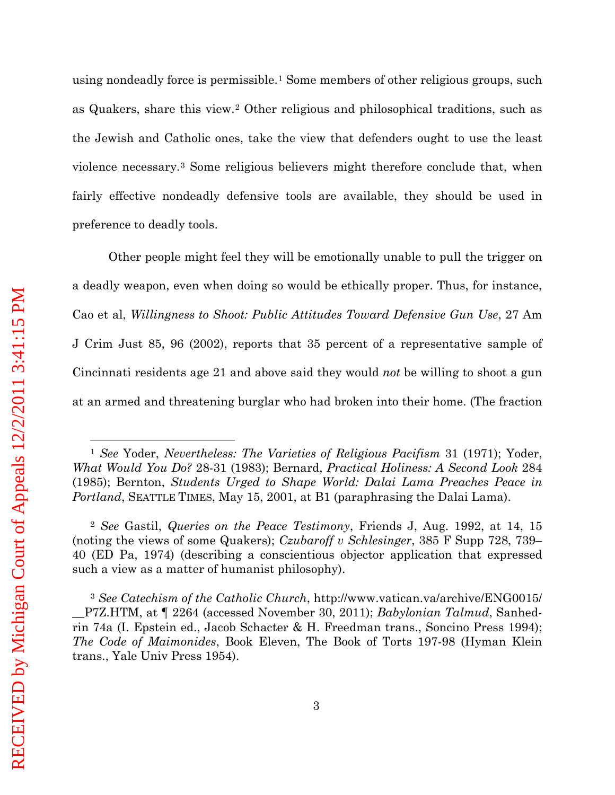using nondeadly force is permissible.[1](#page-8-0) Some members of other religious groups, such as Quakers, share this view.[2](#page-8-1) Other religious and philosophical traditions, such as the Jewish and Catholic ones, take the view that defenders ought to use the least violence necessary.[3](#page-8-2) Some religious believers might therefore conclude that, when fairly effective nondeadly defensive tools are available, they should be used in preference to deadly tools.

Other people might feel they will be emotionally unable to pull the trigger on a deadly weapon, even when doing so would be ethically proper. Thus, for instance, Cao et al, *Willingness to Shoot: Public Attitudes Toward Defensive Gun Use*, 27 Am J Crim Just 85, 96 (2002), reports that 35 percent of a representative sample of Cincinnati residents age 21 and above said they would *not* be willing to shoot a gun at an armed and threatening burglar who had broken into their home. (The fraction

 $\overline{a}$ 

<span id="page-8-0"></span><sup>1</sup> *See* Yoder, *Nevertheless: The Varieties of Religious Pacifism* 31 (1971); Yoder, *What Would You Do?* 28-31 (1983); Bernard, *Practical Holiness: A Second Look* 284 (1985); Bernton, *Students Urged to Shape World: Dalai Lama Preaches Peace in Portland*, SEATTLE TIMES, May 15, 2001, at B1 (paraphrasing the Dalai Lama).

<span id="page-8-1"></span><sup>2</sup> *See* Gastil, *Queries on the Peace Testimony*, Friends J, Aug. 1992, at 14, 15 (noting the views of some Quakers); *Czubaroff v Schlesinger*, 385 F Supp 728, 739– 40 (ED Pa, 1974) (describing a conscientious objector application that expressed such a view as a matter of humanist philosophy).

<span id="page-8-2"></span><sup>3</sup> *See Catechism of the Catholic Church*, http://www.vatican.va/archive/ENG0015/ \_\_P7Z.HTM, at ¶ 2264 (accessed November 30, 2011); *Babylonian Talmud*, Sanhedrin 74a (I. Epstein ed., Jacob Schacter & H. Freedman trans., Soncino Press 1994); *The Code of Maimonides*, Book Eleven, The Book of Torts 197-98 (Hyman Klein trans., Yale Univ Press 1954).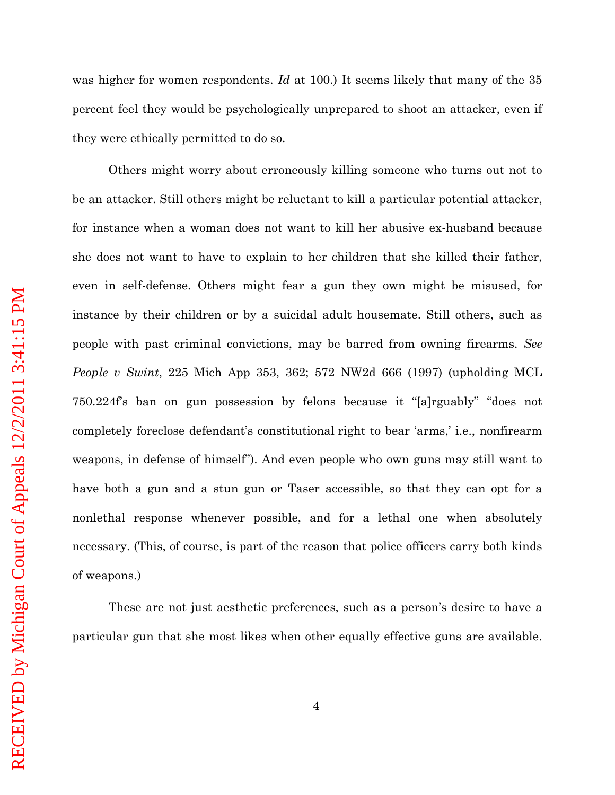was higher for women respondents. *Id* at 100.) It seems likely that many of the 35 percent feel they would be psychologically unprepared to shoot an attacker, even if they were ethically permitted to do so.

Others might worry about erroneously killing someone who turns out not to be an attacker. Still others might be reluctant to kill a particular potential attacker, for instance when a woman does not want to kill her abusive ex-husband because she does not want to have to explain to her children that she killed their father, even in self-defense. Others might fear a gun they own might be misused, for instance by their children or by a suicidal adult housemate. Still others, such as people with past criminal convictions, may be barred from owning firearms. *See People v Swint*, 225 Mich App 353, 362; 572 NW2d 666 (1997) (upholding MCL 750.224f's ban on gun possession by felons because it "[a]rguably" "does not completely foreclose defendant's constitutional right to bear 'arms,' i.e., nonfirearm weapons, in defense of himself"). And even people who own guns may still want to have both a gun and a stun gun or Taser accessible, so that they can opt for a nonlethal response whenever possible, and for a lethal one when absolutely necessary. (This, of course, is part of the reason that police officers carry both kinds of weapons.)

These are not just aesthetic preferences, such as a person's desire to have a particular gun that she most likes when other equally effective guns are available.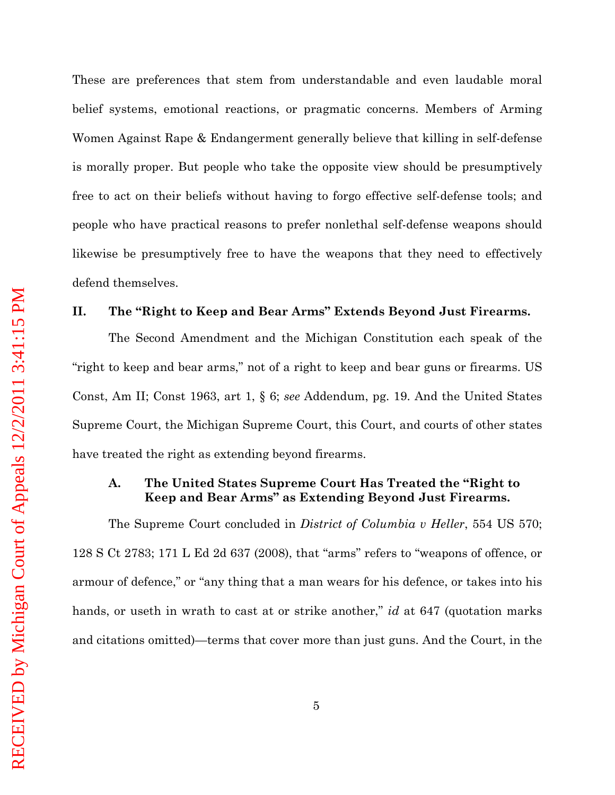These are preferences that stem from understandable and even laudable moral belief systems, emotional reactions, or pragmatic concerns. Members of Arming Women Against Rape & Endangerment generally believe that killing in self-defense is morally proper. But people who take the opposite view should be presumptively free to act on their beliefs without having to forgo effective self-defense tools; and people who have practical reasons to prefer nonlethal self-defense weapons should likewise be presumptively free to have the weapons that they need to effectively defend themselves.

#### <span id="page-10-0"></span>**II. The "Right to Keep and Bear Arms" Extends Beyond Just Firearms.**

The Second Amendment and the Michigan Constitution each speak of the "right to keep and bear arms," not of a right to keep and bear guns or firearms. US Const, Am II; Const 1963, art 1, § 6; *see* Addendum, pg. 19. And the United States Supreme Court, the Michigan Supreme Court, this Court, and courts of other states have treated the right as extending beyond firearms.

### <span id="page-10-1"></span>**A. The United States Supreme Court Has Treated the "Right to Keep and Bear Arms" as Extending Beyond Just Firearms.**

The Supreme Court concluded in *District of Columbia v Heller*, 554 US 570; 128 S Ct 2783; 171 L Ed 2d 637 (2008), that "arms" refers to "weapons of offence, or armour of defence," or "any thing that a man wears for his defence, or takes into his hands, or useth in wrath to cast at or strike another," *id* at 647 (quotation marks and citations omitted)—terms that cover more than just guns. And the Court, in the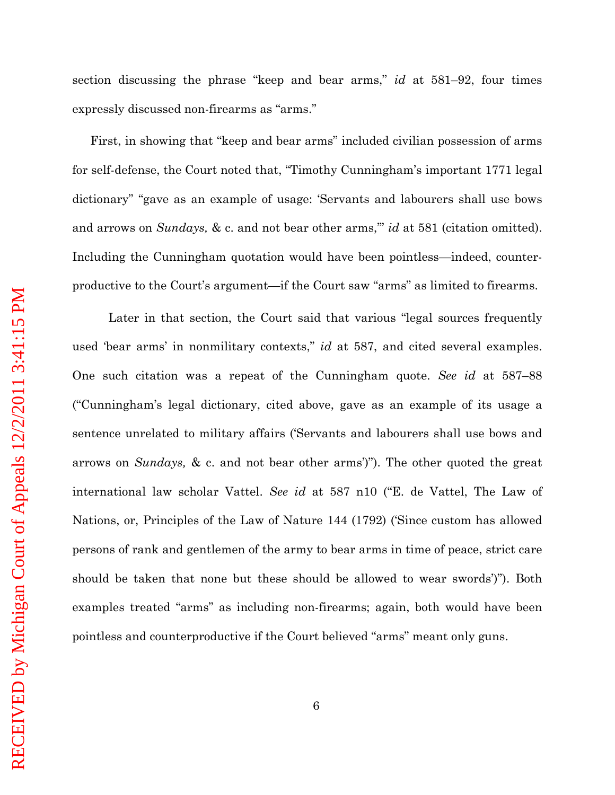section discussing the phrase "keep and bear arms," *id* at 581–92, four times expressly discussed non-firearms as "arms."

First, in showing that "keep and bear arms" included civilian possession of arms for self-defense, the Court noted that, "Timothy Cunningham's important 1771 legal dictionary" "gave as an example of usage: 'Servants and labourers shall use bows and arrows on *Sundays*, & c. and not bear other arms," *id* at 581 (citation omitted). Including the Cunningham quotation would have been pointless—indeed, counterproductive to the Court's argument—if the Court saw "arms" as limited to firearms.

Later in that section, the Court said that various "legal sources frequently used 'bear arms' in nonmilitary contexts," *id* at 587, and cited several examples. One such citation was a repeat of the Cunningham quote. *See id* at 587–88 ("Cunningham's legal dictionary, cited above, gave as an example of its usage a sentence unrelated to military affairs ('Servants and labourers shall use bows and arrows on *Sundays,* & c. and not bear other arms')"). The other quoted the great international law scholar Vattel. *See id* at 587 n10 ("E. de Vattel, The Law of Nations, or, Principles of the Law of Nature 144 (1792) ('Since custom has allowed persons of rank and gentlemen of the army to bear arms in time of peace, strict care should be taken that none but these should be allowed to wear swords')"). Both examples treated "arms" as including non-firearms; again, both would have been pointless and counterproductive if the Court believed "arms" meant only guns.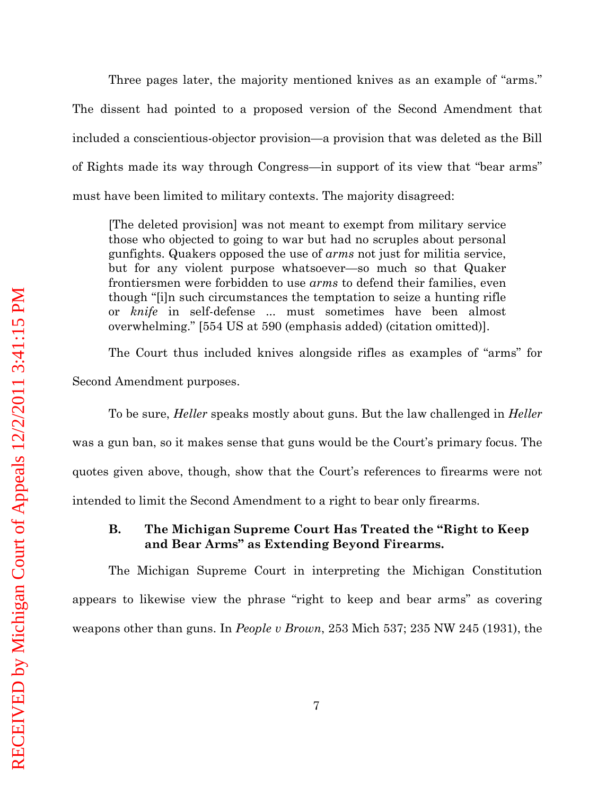Three pages later, the majority mentioned knives as an example of "arms." The dissent had pointed to a proposed version of the Second Amendment that included a conscientious-objector provision—a provision that was deleted as the Bill of Rights made its way through Congress—in support of its view that "bear arms" must have been limited to military contexts. The majority disagreed:

[The deleted provision] was not meant to exempt from military service those who objected to going to war but had no scruples about personal gunfights. Quakers opposed the use of *arms* not just for militia service, but for any violent purpose whatsoever—so much so that Quaker frontiersmen were forbidden to use *arms* to defend their families, even though "[i]n such circumstances the temptation to seize a hunting rifle or *knife* in self-defense ... must sometimes have been almost overwhelming." [554 US at 590 (emphasis added) (citation omitted)].

The Court thus included knives alongside rifles as examples of "arms" for Second Amendment purposes.

To be sure, *Heller* speaks mostly about guns. But the law challenged in *Heller* was a gun ban, so it makes sense that guns would be the Court's primary focus. The quotes given above, though, show that the Court's references to firearms were not intended to limit the Second Amendment to a right to bear only firearms.

### <span id="page-12-0"></span>**B. The Michigan Supreme Court Has Treated the "Right to Keep and Bear Arms" as Extending Beyond Firearms.**

The Michigan Supreme Court in interpreting the Michigan Constitution appears to likewise view the phrase "right to keep and bear arms" as covering weapons other than guns. In *People v Brown*, 253 Mich 537; 235 NW 245 (1931), the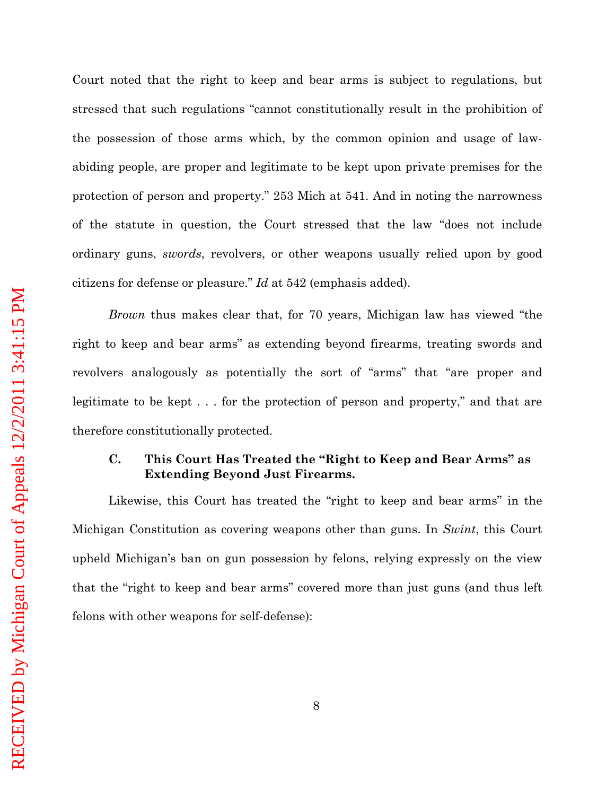Court noted that the right to keep and bear arms is subject to regulations, but stressed that such regulations "cannot constitutionally result in the prohibition of the possession of those arms which, by the common opinion and usage of lawabiding people, are proper and legitimate to be kept upon private premises for the protection of person and property." 253 Mich at 541. And in noting the narrowness of the statute in question, the Court stressed that the law "does not include ordinary guns, *swords*, revolvers, or other weapons usually relied upon by good citizens for defense or pleasure." *Id* at 542 (emphasis added).

*Brown* thus makes clear that, for 70 years, Michigan law has viewed "the right to keep and bear arms" as extending beyond firearms, treating swords and revolvers analogously as potentially the sort of "arms" that "are proper and legitimate to be kept . . . for the protection of person and property," and that are therefore constitutionally protected.

# <span id="page-13-0"></span>**C. This Court Has Treated the "Right to Keep and Bear Arms" as Extending Beyond Just Firearms.**

Likewise, this Court has treated the "right to keep and bear arms" in the Michigan Constitution as covering weapons other than guns. In *Swint*, this Court upheld Michigan's ban on gun possession by felons, relying expressly on the view that the "right to keep and bear arms" covered more than just guns (and thus left felons with other weapons for self-defense):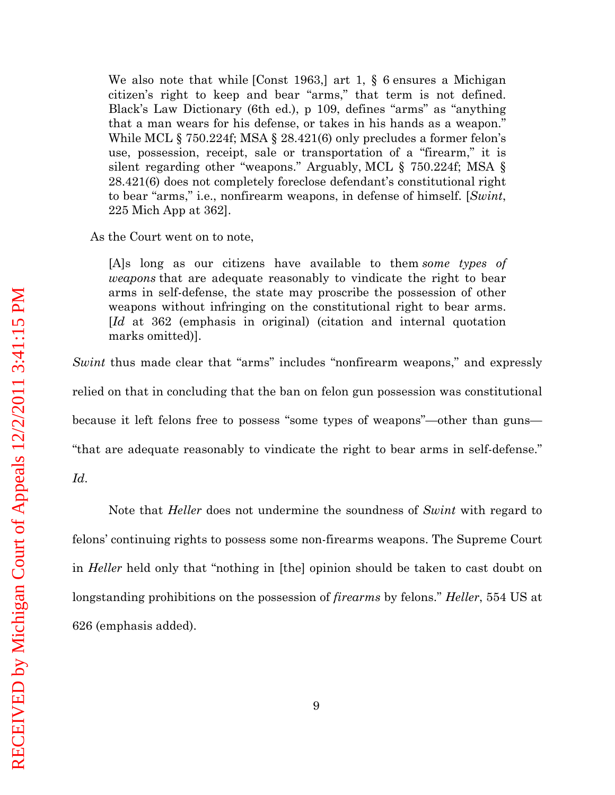We also note that while [Const 1963,] art 1, § 6 ensures a Michigan citizen's right to keep and bear "arms," that term is not defined. Black's Law Dictionary (6th ed.), p 109, defines "arms" as "anything that a man wears for his defense, or takes in his hands as a weapon." While MCL § 750.224f; MSA § 28.421(6) only precludes a former felon's use, possession, receipt, sale or transportation of a "firearm," it is silent regarding other "weapons." Arguably, MCL § 750.224f; MSA § 28.421(6) does not completely foreclose defendant's constitutional right to bear "arms," i.e., nonfirearm weapons, in defense of himself. [*Swint*, 225 Mich App at 362].

As the Court went on to note,

[A]s long as our citizens have available to them *some types of weapons* that are adequate reasonably to vindicate the right to bear arms in self-defense, the state may proscribe the possession of other weapons without infringing on the constitutional right to bear arms. [*Id* at 362 (emphasis in original) (citation and internal quotation marks omitted)].

*Swint* thus made clear that "arms" includes "nonfirearm weapons," and expressly relied on that in concluding that the ban on felon gun possession was constitutional because it left felons free to possess "some types of weapons"—other than guns— "that are adequate reasonably to vindicate the right to bear arms in self-defense."

*Id*.

Note that *Heller* does not undermine the soundness of *Swint* with regard to felons' continuing rights to possess some non-firearms weapons. The Supreme Court in *Heller* held only that "nothing in [the] opinion should be taken to cast doubt on longstanding prohibitions on the possession of *firearms* by felons." *Heller*, 554 US at 626 (emphasis added).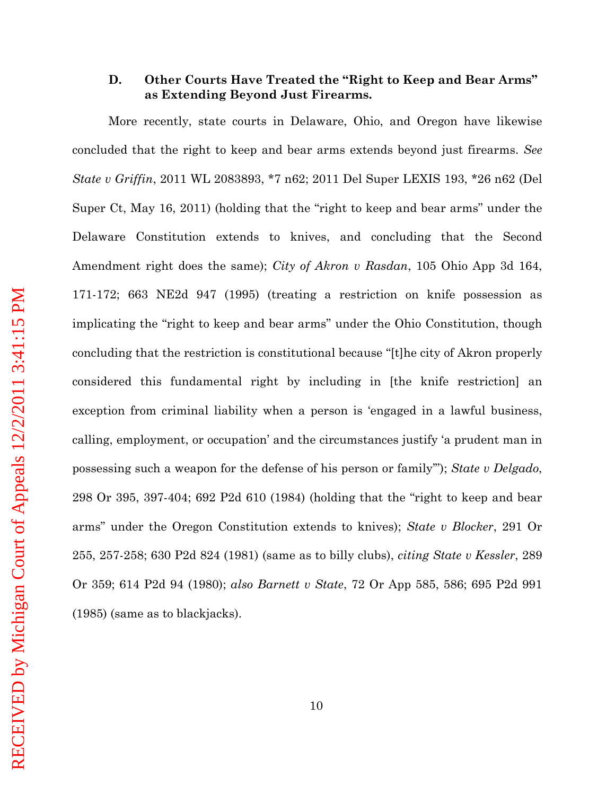#### <span id="page-15-0"></span>**D. Other Courts Have Treated the "Right to Keep and Bear Arms" as Extending Beyond Just Firearms.**

More recently, state courts in Delaware, Ohio, and Oregon have likewise concluded that the right to keep and bear arms extends beyond just firearms. *See State v Griffin*, 2011 WL 2083893, \*7 n62; 2011 Del Super LEXIS 193, \*26 n62 (Del Super Ct, May 16, 2011) (holding that the "right to keep and bear arms" under the Delaware Constitution extends to knives, and concluding that the Second Amendment right does the same); *City of Akron v Rasdan*, 105 Ohio App 3d 164, 171-172; 663 NE2d 947 (1995) (treating a restriction on knife possession as implicating the "right to keep and bear arms" under the Ohio Constitution, though concluding that the restriction is constitutional because "[t]he city of Akron properly considered this fundamental right by including in [the knife restriction] an exception from criminal liability when a person is 'engaged in a lawful business, calling, employment, or occupation' and the circumstances justify 'a prudent man in possessing such a weapon for the defense of his person or family'"); *State v Delgado*, 298 Or 395, 397-404; 692 P2d 610 (1984) (holding that the "right to keep and bear arms" under the Oregon Constitution extends to knives); *State v Blocker*, 291 Or 255, 257-258; 630 P2d 824 (1981) (same as to billy clubs), *citing State v Kessler*, 289 Or 359; 614 P2d 94 (1980); *also Barnett v State*, 72 Or App 585, 586; 695 P2d 991 (1985) (same as to blackjacks).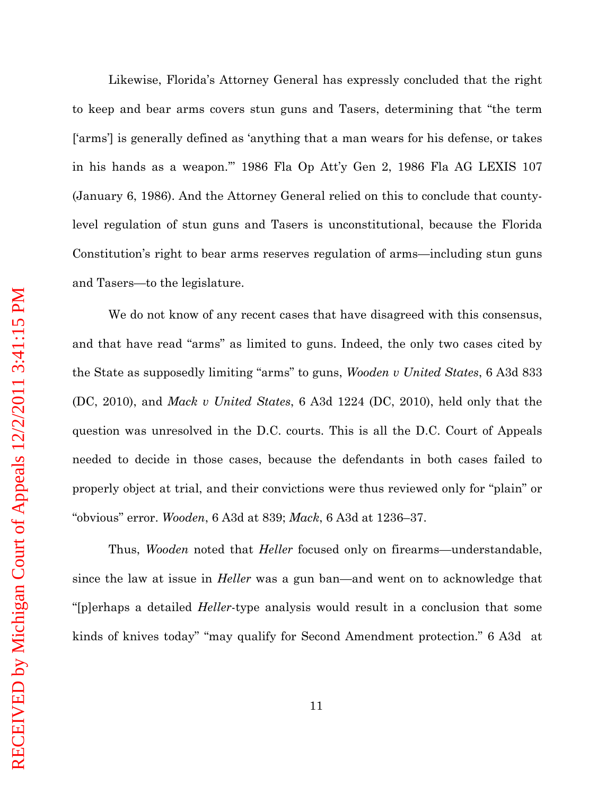Likewise, Florida's Attorney General has expressly concluded that the right to keep and bear arms covers stun guns and Tasers, determining that "the term ['arms'] is generally defined as 'anything that a man wears for his defense, or takes in his hands as a weapon.'" 1986 Fla Op Att'y Gen 2, 1986 Fla AG LEXIS 107 (January 6, 1986). And the Attorney General relied on this to conclude that countylevel regulation of stun guns and Tasers is unconstitutional, because the Florida Constitution's right to bear arms reserves regulation of arms—including stun guns and Tasers—to the legislature.

We do not know of any recent cases that have disagreed with this consensus, and that have read "arms" as limited to guns. Indeed, the only two cases cited by the State as supposedly limiting "arms" to guns, *Wooden v United States*, 6 A3d 833 (DC, 2010), and *Mack v United States*, 6 A3d 1224 (DC, 2010), held only that the question was unresolved in the D.C. courts. This is all the D.C. Court of Appeals needed to decide in those cases, because the defendants in both cases failed to properly object at trial, and their convictions were thus reviewed only for "plain" or "obvious" error. *Wooden*, 6 A3d at 839; *Mack*, 6 A3d at 1236–37.

Thus, *Wooden* noted that *Heller* focused only on firearms—understandable, since the law at issue in *Heller* was a gun ban—and went on to acknowledge that "[p]erhaps a detailed *Heller*-type analysis would result in a conclusion that some kinds of knives today" "may qualify for Second Amendment protection." 6 A3d at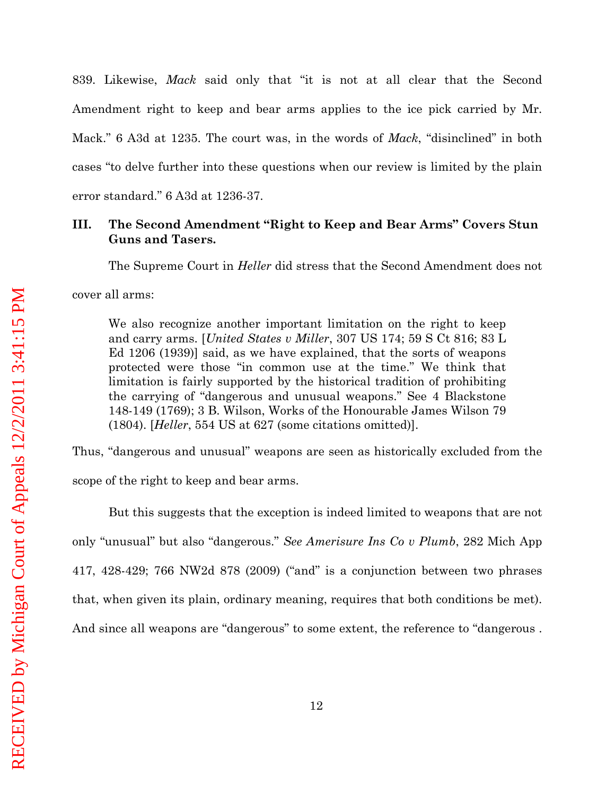839. Likewise, *Mack* said only that "it is not at all clear that the Second Amendment right to keep and bear arms applies to the ice pick carried by Mr. Mack." 6 A3d at 1235. The court was, in the words of *Mack*, "disinclined" in both cases "to delve further into these questions when our review is limited by the plain error standard." 6 A3d at 1236-37.

# <span id="page-17-0"></span>**III. The Second Amendment "Right to Keep and Bear Arms" Covers Stun Guns and Tasers.**

The Supreme Court in *Heller* did stress that the Second Amendment does not

cover all arms:

We also recognize another important limitation on the right to keep and carry arms. [*United States v Miller*, 307 US 174; 59 S Ct 816; 83 L Ed 1206 (1939)] said, as we have explained, that the sorts of weapons protected were those "in common use at the time." We think that limitation is fairly supported by the historical tradition of prohibiting the carrying of "dangerous and unusual weapons." See 4 Blackstone 148-149 (1769); 3 B. Wilson, Works of the Honourable James Wilson 79 (1804). [*Heller*, 554 US at 627 (some citations omitted)].

Thus, "dangerous and unusual" weapons are seen as historically excluded from the scope of the right to keep and bear arms.

But this suggests that the exception is indeed limited to weapons that are not only "unusual" but also "dangerous." *See Amerisure Ins Co v Plumb*, 282 Mich App 417, 428-429; 766 NW2d 878 (2009) ("and" is a conjunction between two phrases that, when given its plain, ordinary meaning, requires that both conditions be met). And since all weapons are "dangerous" to some extent, the reference to "dangerous .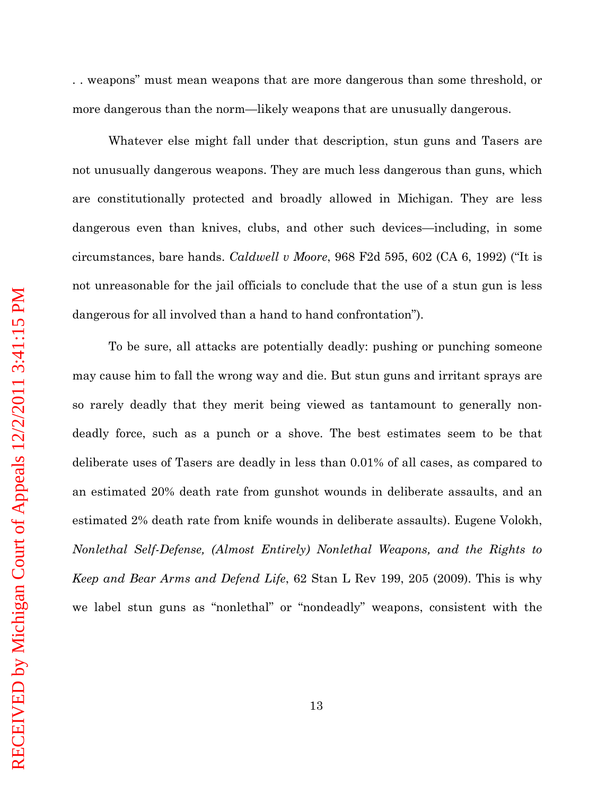. . weapons" must mean weapons that are more dangerous than some threshold, or more dangerous than the norm—likely weapons that are unusually dangerous.

Whatever else might fall under that description, stun guns and Tasers are not unusually dangerous weapons. They are much less dangerous than guns, which are constitutionally protected and broadly allowed in Michigan. They are less dangerous even than knives, clubs, and other such devices—including, in some circumstances, bare hands. *Caldwell v Moore*, 968 F2d 595, 602 (CA 6, 1992) ("It is not unreasonable for the jail officials to conclude that the use of a stun gun is less dangerous for all involved than a hand to hand confrontation").

To be sure, all attacks are potentially deadly: pushing or punching someone may cause him to fall the wrong way and die. But stun guns and irritant sprays are so rarely deadly that they merit being viewed as tantamount to generally nondeadly force, such as a punch or a shove. The best estimates seem to be that deliberate uses of Tasers are deadly in less than 0.01% of all cases, as compared to an estimated 20% death rate from gunshot wounds in deliberate assaults, and an estimated 2% death rate from knife wounds in deliberate assaults). Eugene Volokh, *Nonlethal Self-Defense, (Almost Entirely) Nonlethal Weapons, and the Rights to Keep and Bear Arms and Defend Life*, 62 Stan L Rev 199, 205 (2009). This is why we label stun guns as "nonlethal" or "nondeadly" weapons, consistent with the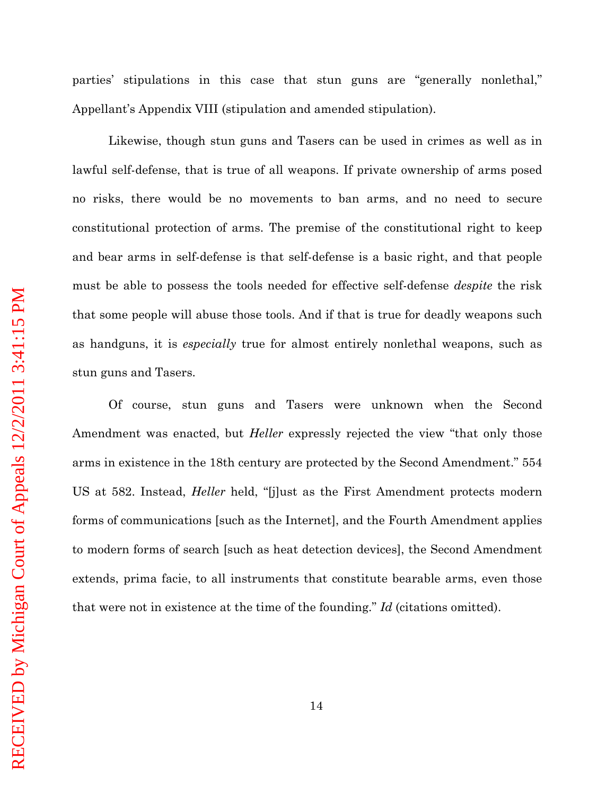parties' stipulations in this case that stun guns are "generally nonlethal," Appellant's Appendix VIII (stipulation and amended stipulation).

Likewise, though stun guns and Tasers can be used in crimes as well as in lawful self-defense, that is true of all weapons. If private ownership of arms posed no risks, there would be no movements to ban arms, and no need to secure constitutional protection of arms. The premise of the constitutional right to keep and bear arms in self-defense is that self-defense is a basic right, and that people must be able to possess the tools needed for effective self-defense *despite* the risk that some people will abuse those tools. And if that is true for deadly weapons such as handguns, it is *especially* true for almost entirely nonlethal weapons, such as stun guns and Tasers.

Of course, stun guns and Tasers were unknown when the Second Amendment was enacted, but *Heller* expressly rejected the view "that only those arms in existence in the 18th century are protected by the Second Amendment." 554 US at 582. Instead, *Heller* held, "[j]ust as the First Amendment protects modern forms of communications [such as the Internet], and the Fourth Amendment applies to modern forms of search [such as heat detection devices], the Second Amendment extends, prima facie, to all instruments that constitute bearable arms, even those that were not in existence at the time of the founding." *Id* (citations omitted).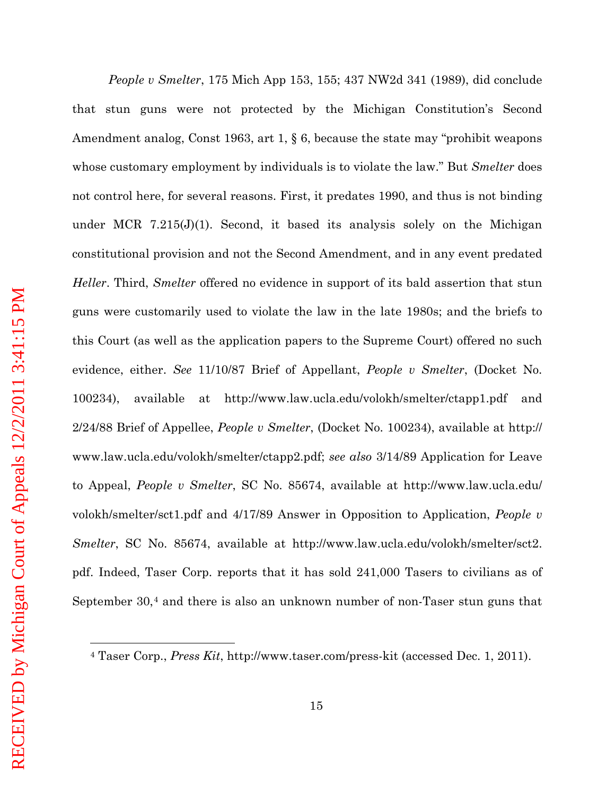RECEIVED by Michigan Court of Appeals 12/2/2011 3:41:15 PM RECEIVED by Michigan Court of Appeals 12/2/2011 3:41:15 PM $\overline{a}$ 

*People v Smelter*, 175 Mich App 153, 155; 437 NW2d 341 (1989), did conclude that stun guns were not protected by the Michigan Constitution's Second Amendment analog, Const 1963, art 1, § 6, because the state may "prohibit weapons whose customary employment by individuals is to violate the law." But *Smelter* does not control here, for several reasons. First, it predates 1990, and thus is not binding under MCR 7.215(J)(1). Second, it based its analysis solely on the Michigan constitutional provision and not the Second Amendment, and in any event predated *Heller*. Third, *Smelter* offered no evidence in support of its bald assertion that stun guns were customarily used to violate the law in the late 1980s; and the briefs to this Court (as well as the application papers to the Supreme Court) offered no such evidence, either. *See* 11/10/87 Brief of Appellant, *People v Smelter*, (Docket No. 100234), available at http://www.law.ucla.edu/volokh/smelter/ctapp1.pdf and 2/24/88 Brief of Appellee, *People v Smelter*, (Docket No. 100234), available at http:// www.law.ucla.edu/volokh/smelter/ctapp2.pdf; *see also* 3/14/89 Application for Leave to Appeal, *People v Smelter*, SC No. 85674, available at http://www.law.ucla.edu/ volokh/smelter/sct1.pdf and 4/17/89 Answer in Opposition to Application, *People v Smelter*, SC No. 85674, available at http://www.law.ucla.edu/volokh/smelter/sct2. pdf. Indeed, Taser Corp. reports that it has sold 241,000 Tasers to civilians as of September 30,<sup>4</sup> and there is also an unknown number of non-Taser stun guns that

<sup>4</sup> Taser Corp., *Press Kit*, http://www.taser.com/press-kit (accessed Dec. 1, 2011).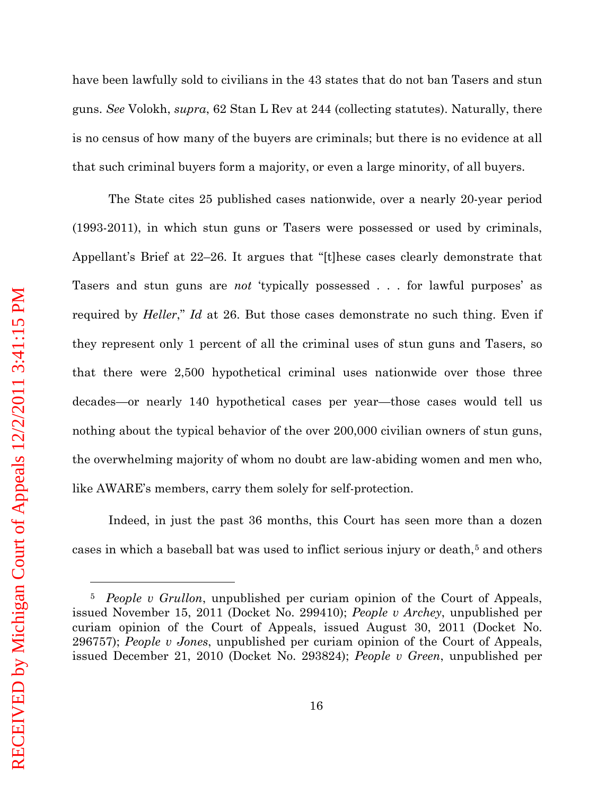<span id="page-21-1"></span> $\overline{a}$ 

have been lawfully sold to civilians in the 43 states that do not ban Tasers and stun guns. *See* Volokh, *supra*, 62 Stan L Rev at 244 (collecting statutes). Naturally, there is no census of how many of the buyers are criminals; but there is no evidence at all that such criminal buyers form a majority, or even a large minority, of all buyers.

The State cites 25 published cases nationwide, over a nearly 20-year period (1993-2011), in which stun guns or Tasers were possessed or used by criminals, Appellant's Brief at 22–26. It argues that "[t]hese cases clearly demonstrate that Tasers and stun guns are *not* 'typically possessed . . . for lawful purposes' as required by *Heller*," *Id* at 26. But those cases demonstrate no such thing. Even if they represent only 1 percent of all the criminal uses of stun guns and Tasers, so that there were 2,500 hypothetical criminal uses nationwide over those three decades—or nearly 140 hypothetical cases per year—those cases would tell us nothing about the typical behavior of the over 200,000 civilian owners of stun guns, the overwhelming majority of whom no doubt are law-abiding women and men who, like AWARE's members, carry them solely for self-protection.

Indeed, in just the past 36 months, this Court has seen more than a dozen cases in which a baseball bat was used to inflict serious injury or death,<sup>[5](#page-21-0)</sup> and others

<span id="page-21-0"></span><sup>5</sup> *People v Grullon*, unpublished per curiam opinion of the Court of Appeals, issued November 15, 2011 (Docket No. 299410); *People v Archey*, unpublished per curiam opinion of the Court of Appeals, issued August 30, 2011 (Docket No. 296757); *People v Jones*, unpublished per curiam opinion of the Court of Appeals, issued December 21, 2010 (Docket No. 293824); *People v Green*, unpublished per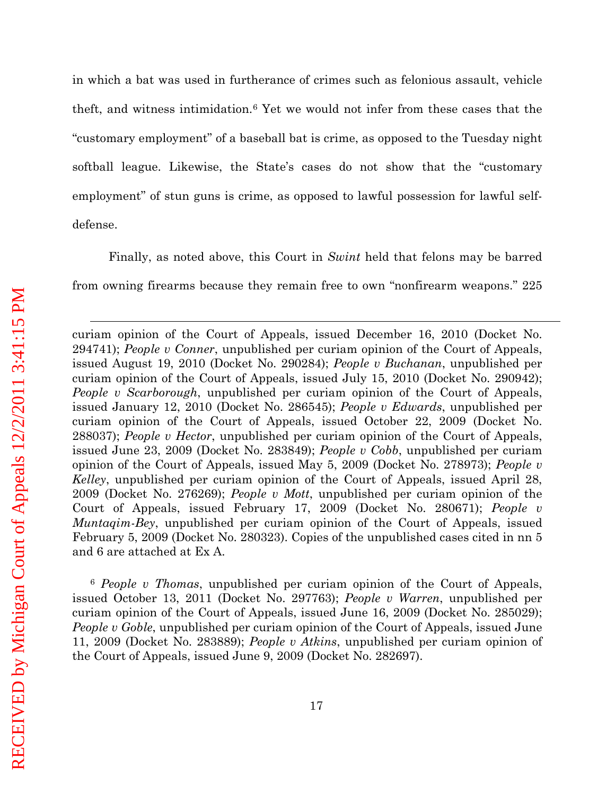<span id="page-22-1"></span>in which a bat was used in furtherance of crimes such as felonious assault, vehicle theft, and witness intimidation.[6](#page-22-0) Yet we would not infer from these cases that the "customary employment" of a baseball bat is crime, as opposed to the Tuesday night softball league. Likewise, the State's cases do not show that the "customary employment" of stun guns is crime, as opposed to lawful possession for lawful selfdefense.

Finally, as noted above, this Court in *Swint* held that felons may be barred from owning firearms because they remain free to own "nonfirearm weapons." 225

curiam opinion of the Court of Appeals, issued December 16, 2010 (Docket No. 294741); *People v Conner*, unpublished per curiam opinion of the Court of Appeals, issued August 19, 2010 (Docket No. 290284); *People v Buchanan*, unpublished per curiam opinion of the Court of Appeals, issued July 15, 2010 (Docket No. 290942); *People v Scarborough*, unpublished per curiam opinion of the Court of Appeals, issued January 12, 2010 (Docket No. 286545); *People v Edwards*, unpublished per curiam opinion of the Court of Appeals, issued October 22, 2009 (Docket No. 288037); *People v Hector*, unpublished per curiam opinion of the Court of Appeals, issued June 23, 2009 (Docket No. 283849); *People v Cobb*, unpublished per curiam opinion of the Court of Appeals, issued May 5, 2009 (Docket No. 278973); *People v Kelley*, unpublished per curiam opinion of the Court of Appeals, issued April 28, 2009 (Docket No. 276269); *People v Mott*, unpublished per curiam opinion of the Court of Appeals, issued February 17, 2009 (Docket No. 280671); *People v Muntaqim-Bey*, unpublished per curiam opinion of the Court of Appeals, issued February 5, 2009 (Docket No. 280323). Copies of the unpublished cases cited in nn 5 and 6 are attached at Ex A.

<span id="page-22-0"></span><sup>6</sup> *People v Thomas*, unpublished per curiam opinion of the Court of Appeals, issued October 13, 2011 (Docket No. 297763); *People v Warren*, unpublished per curiam opinion of the Court of Appeals, issued June 16, 2009 (Docket No. 285029); *People v Goble*, unpublished per curiam opinion of the Court of Appeals, issued June 11, 2009 (Docket No. 283889); *People v Atkins*, unpublished per curiam opinion of the Court of Appeals, issued June 9, 2009 (Docket No. 282697).

 $\overline{a}$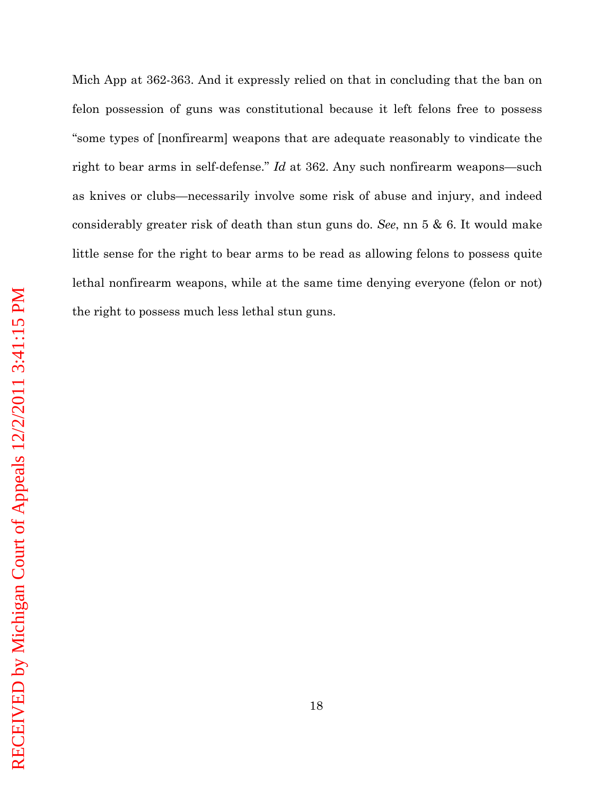felon possession of guns was constitutional because it left felons free to possess "some types of [nonfirearm] weapons that are adequate reasonably to vindicate the right to bear arms in self-defense." *Id* at 362. Any such nonfirearm weapons—such as knives or clubs—necessarily involve some risk of abuse and injury, and indeed considerably greater risk of death than stun guns do. *See*, nn [5](#page-21-1) & [6.](#page-22-1) It would make little sense for the right to bear arms to be read as allowing felons to possess quite lethal nonfirearm weapons, while at the same time denying everyone (felon or not) the right to possess much less lethal stun guns.

Mich App at 362-363. And it expressly relied on that in concluding that the ban on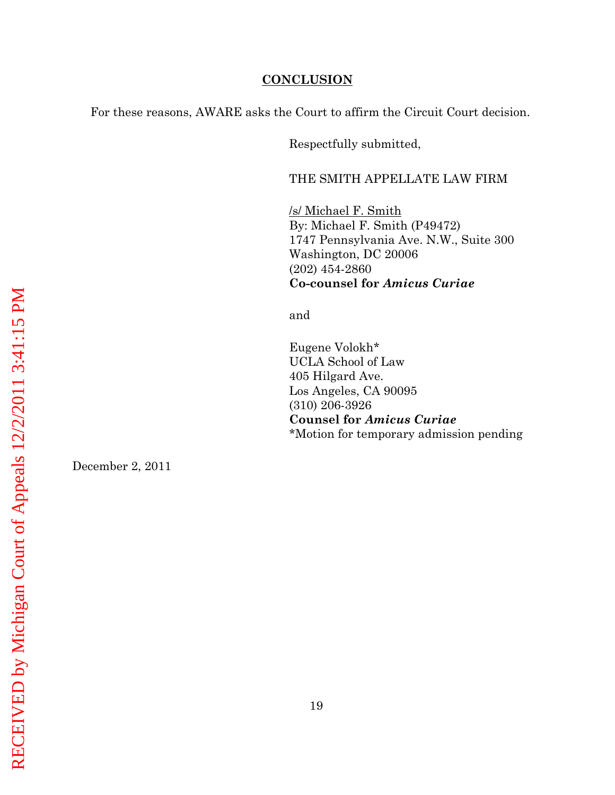#### **CONCLUSION**

<span id="page-24-0"></span>For these reasons, AWARE asks the Court to affirm the Circuit Court decision.

Respectfully submitted,

#### THE SMITH APPELLATE LAW FIRM

By: Michael F. Smith (P49472) /s/ Michael F. Smith 1747 Pennsylvania Ave. N.W., Suite 300 Washington, DC 20006 (202) 454-2860 **Co-counsel for** *Amicus Curiae*

and

Eugene Volokh\* UCLA School of Law 405 Hilgard Ave. Los Angeles, CA 90095 (310) 206-3926 **Counsel for** *Amicus Curiae* \*Motion for temporary admission pending

December 2, 2011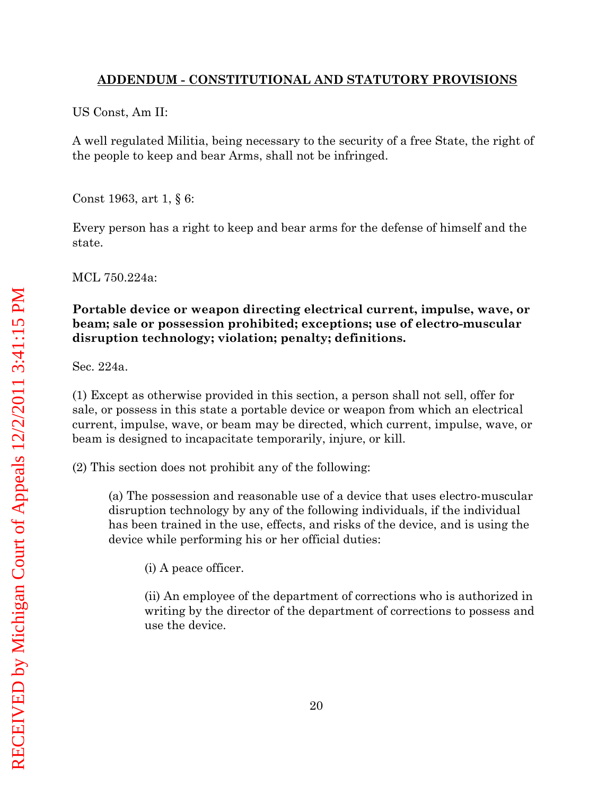### <span id="page-25-0"></span>**ADDENDUM - CONSTITUTIONAL AND STATUTORY PROVISIONS**

US Const, Am II:

A well regulated Militia, being necessary to the security of a free State, the right of the people to keep and bear Arms, shall not be infringed.

Const 1963, art 1, § 6:

Every person has a right to keep and bear arms for the defense of himself and the state.

MCL 750.224a:

# **Portable device or weapon directing electrical current, impulse, wave, or beam; sale or possession prohibited; exceptions; use of electro-muscular disruption technology; violation; penalty; definitions.**

Sec. 224a.

(1) Except as otherwise provided in this section, a person shall not sell, offer for sale, or possess in this state a portable device or weapon from which an electrical current, impulse, wave, or beam may be directed, which current, impulse, wave, or beam is designed to incapacitate temporarily, injure, or kill.

(2) This section does not prohibit any of the following:

(a) The possession and reasonable use of a device that uses electro-muscular disruption technology by any of the following individuals, if the individual has been trained in the use, effects, and risks of the device, and is using the device while performing his or her official duties:

(i) A peace officer.

(ii) An employee of the department of corrections who is authorized in writing by the director of the department of corrections to possess and use the device.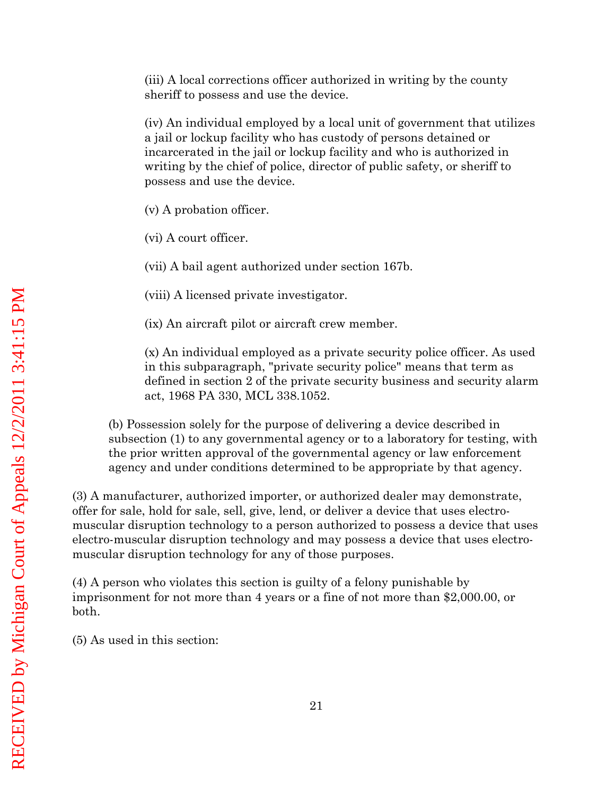(iii) A local corrections officer authorized in writing by the county sheriff to possess and use the device.

(iv) An individual employed by a local unit of government that utilizes a jail or lockup facility who has custody of persons detained or incarcerated in the jail or lockup facility and who is authorized in writing by the chief of police, director of public safety, or sheriff to possess and use the device.

(v) A probation officer.

(vi) A court officer.

(vii) A bail agent authorized under section 167b.

(viii) A licensed private investigator.

(ix) An aircraft pilot or aircraft crew member.

(x) An individual employed as a private security police officer. As used in this subparagraph, "private security police" means that term as defined in section 2 of the private security business and security alarm act, 1968 PA 330, MCL 338.1052.

(b) Possession solely for the purpose of delivering a device described in subsection (1) to any governmental agency or to a laboratory for testing, with the prior written approval of the governmental agency or law enforcement agency and under conditions determined to be appropriate by that agency.

(3) A manufacturer, authorized importer, or authorized dealer may demonstrate, offer for sale, hold for sale, sell, give, lend, or deliver a device that uses electromuscular disruption technology to a person authorized to possess a device that uses electro-muscular disruption technology and may possess a device that uses electromuscular disruption technology for any of those purposes.

(4) A person who violates this section is guilty of a felony punishable by imprisonment for not more than 4 years or a fine of not more than \$2,000.00, or both.

(5) As used in this section: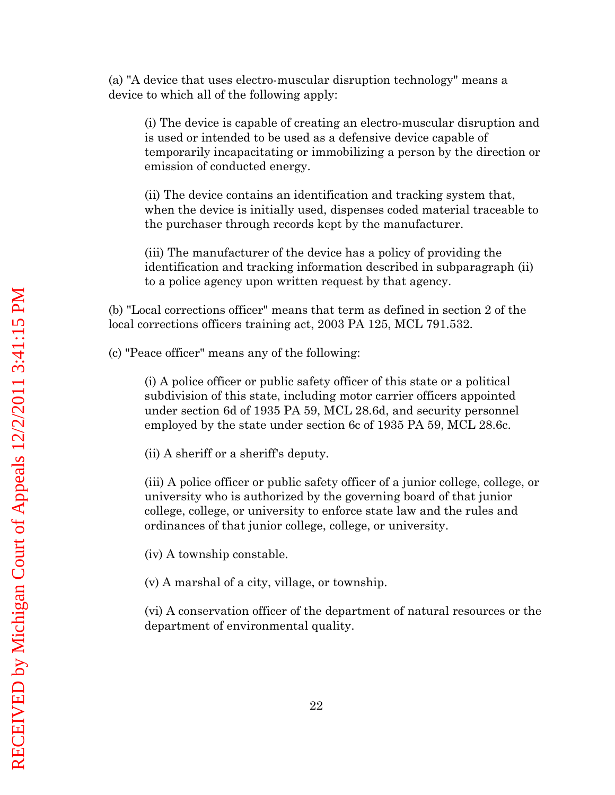(a) "A device that uses electro-muscular disruption technology" means a device to which all of the following apply:

(i) The device is capable of creating an electro-muscular disruption and is used or intended to be used as a defensive device capable of temporarily incapacitating or immobilizing a person by the direction or emission of conducted energy.

(ii) The device contains an identification and tracking system that, when the device is initially used, dispenses coded material traceable to the purchaser through records kept by the manufacturer.

(iii) The manufacturer of the device has a policy of providing the identification and tracking information described in subparagraph (ii) to a police agency upon written request by that agency.

(b) "Local corrections officer" means that term as defined in section 2 of the local corrections officers training act, 2003 PA 125, MCL 791.532.

(c) "Peace officer" means any of the following:

(i) A police officer or public safety officer of this state or a political subdivision of this state, including motor carrier officers appointed under section 6d of 1935 PA 59, MCL 28.6d, and security personnel employed by the state under section 6c of 1935 PA 59, MCL 28.6c.

(ii) A sheriff or a sheriff's deputy.

(iii) A police officer or public safety officer of a junior college, college, or university who is authorized by the governing board of that junior college, college, or university to enforce state law and the rules and ordinances of that junior college, college, or university.

(iv) A township constable.

(v) A marshal of a city, village, or township.

(vi) A conservation officer of the department of natural resources or the department of environmental quality.